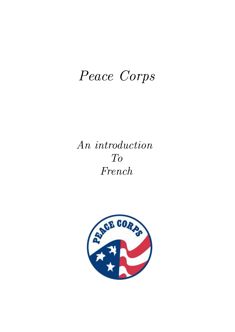# *Peace Corps*

*An introduction To French*

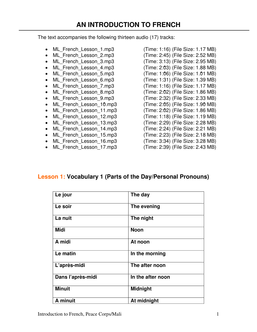### **AN INTRODUCTION TO FRENCH**

The text accompanies the following thirteen audio (17) tracks:

- ML French Lesson 1.mp3 (Time: 1:16) (File Size: 1.17 MB)
- 
- 
- 
- 
- 
- 
- 
- 
- 
- 
- 
- 
- 
- 
- ML French Lesson 16.mp3 (Time: 3:34) (File Size: 3.28 MB)
- ML French Lesson 17.mp3 (Time: 2:39) (File Size: 2.43 MB)

• ML French Lesson 2.mp3 (Time: 2:45) (File Size: 2.52 MB) • ML French Lesson 3.mp3 (Time: 3:13) (File Size: 2.95 MB) • ML French Lesson 4.mp3 (Time: 2:03) (File Size: 1.88 MB) • ML French Lesson 5.mp3 (Time: 1:06) (File Size: 1.01 MB) • ML French Lesson 6.mp3 (Time: 1:31) (File Size: 1.39 MB) • ML French Lesson 7.mp3 (Time: 1:16) (File Size: 1.17 MB) • ML French Lesson 8.mp3 (Time: 2:02) (File Size: 1.86 MB) • ML French Lesson 9.mp3 (Time: 2:32) (File Size: 2.33 MB) • ML French Lesson 10.mp3 (Time: 2:05) (File Size: 1.90 MB) ML French Lesson 11.mp3 (Time: 2:02) (File Size: 1.86 MB) • ML French Lesson 12.mp3 (Time: 1:18) (File Size: 1.19 MB) • ML French Lesson 13.mp3 (Time: 2:29) (File Size: 2.28 MB) • ML French Lesson 14.mp3 (Time: 2:24) (File Size: 2.21 MB) • ML French Lesson\_15.mp3 (Time: 2:23) (File Size: 2.18 MB)

- 
- 

#### **Lesson 1: Vocabulary 1 (Parts of the Day/Personal Pronouns)**

| Le jour           | The day           |
|-------------------|-------------------|
| Le soir           | The evening       |
| La nuit           | The night         |
| <b>Midi</b>       | <b>Noon</b>       |
| A midi            | At noon           |
| Le matin          | In the morning    |
| L'après-midi      | The after noon    |
| Dans l'après-midi | In the after noon |
| <b>Minuit</b>     | <b>Midnight</b>   |
| A minuit          | At midnight       |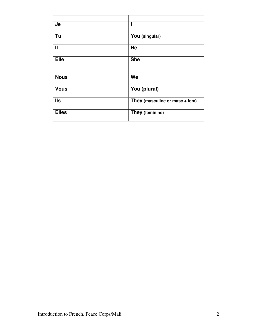| <b>Je</b>    | ı                              |
|--------------|--------------------------------|
| Tu           | You (singular)                 |
| $\mathbf{I}$ | He                             |
| <b>Elle</b>  | <b>She</b>                     |
| <b>Nous</b>  | We                             |
| <b>Vous</b>  | You (plural)                   |
| <b>IIs</b>   | They (masculine or masc + fem) |
| <b>Elles</b> | They (feminine)                |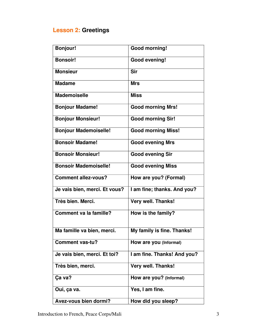## **Lesson 2: Greetings**

| <b>Bonjour!</b>               | Good morning!               |
|-------------------------------|-----------------------------|
| <b>Bonsoir!</b>               | <b>Good evening!</b>        |
| <b>Monsieur</b>               | <b>Sir</b>                  |
| <b>Madame</b>                 | <b>Mrs</b>                  |
| <b>Mademoiselle</b>           | <b>Miss</b>                 |
| <b>Bonjour Madame!</b>        | <b>Good morning Mrs!</b>    |
| <b>Bonjour Monsieur!</b>      | <b>Good morning Sir!</b>    |
| <b>Bonjour Mademoiselle!</b>  | <b>Good morning Miss!</b>   |
| <b>Bonsoir Madame!</b>        | <b>Good evening Mrs</b>     |
| <b>Bonsoir Monsieur!</b>      | <b>Good evening Sir</b>     |
| <b>Bonsoir Mademoiselle!</b>  | <b>Good evening Miss</b>    |
| <b>Comment allez-vous?</b>    | How are you? (Formal)       |
| Je vais bien, merci. Et vous? | I am fine; thanks. And you? |
| Très bien. Merci.             | Very well. Thanks!          |
| <b>Comment va la famille?</b> | How is the family?          |
| Ma famille va bien, merci.    | My family is fine. Thanks!  |
| <b>Comment vas-tu?</b>        | How are you (Informal)      |
| Je vais bien, merci. Et toi?  | I am fine. Thanks! And you? |
| Très bien, merci.             | Very well. Thanks!          |
| Ça va?                        | How are you? (Informal)     |
| Oui, ça va.                   | Yes, I am fine.             |
| Avez-vous bien dormi?         | How did you sleep?          |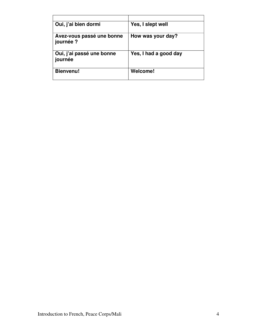| Oui, j'ai bien dormi                   | Yes, I slept well     |
|----------------------------------------|-----------------------|
| Avez-vous passé une bonne<br>journée ? | How was your day?     |
| Oui, j'ai passé une bonne<br>journée   | Yes, I had a good day |
| <b>Bienvenu!</b>                       | Welcome!              |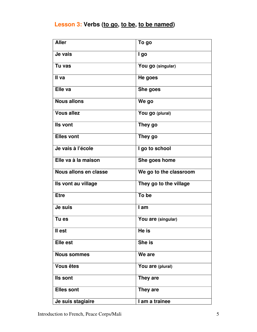### **Lesson 3: Verbs (to go, to be, to be named)**

| <b>Aller</b>          | To go                  |
|-----------------------|------------------------|
| Je vais               | I go                   |
| Tu vas                | You go (singular)      |
| II va                 | He goes                |
| Elle va               | She goes               |
| <b>Nous allons</b>    | We go                  |
| <b>Vous allez</b>     | You go (plural)        |
| Ils vont              | They go                |
| <b>Elles vont</b>     | They go                |
| Je vais à l'école     | I go to school         |
| Elle va à la maison   | She goes home          |
| Nous allons en classe | We go to the classroom |
| Ils vont au village   | They go to the village |
| <b>Etre</b>           | To be                  |
| Je suis               | I am                   |
| Tu es                 | You are (singular)     |
| II est                | He is                  |
| <b>Elle est</b>       | She is                 |
| <b>Nous sommes</b>    | We are                 |
| <b>Vous êtes</b>      | You are (plural)       |
| Ils sont              | They are               |
| <b>Elles sont</b>     | They are               |
| Je suis stagiaire     | I am a trainee         |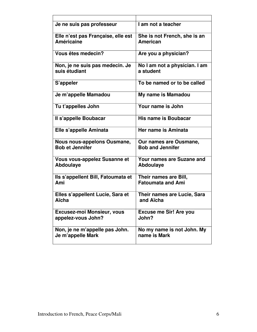| Je ne suis pas professeur           | I am not a teacher               |
|-------------------------------------|----------------------------------|
| Elle n'est pas Française, elle est  | She is not French, she is an     |
| <b>Américaine</b>                   | <b>American</b>                  |
| Vous êtes medecin?                  | Are you a physician?             |
| Non, je ne suis pas medecin. Je     | No I am not a physician. I am    |
| suis étudiant                       | a student                        |
| S'appeler                           | To be named or to be called      |
| Je m'appelle Mamadou                | My name is Mamadou               |
| Tu t'appelles John                  | Your name is John                |
| Il s'appelle Boubacar               | His name is Boubacar             |
| Elle s'appelle Aminata              | Her name is Aminata              |
| Nous nous-appelons Ousmane,         | Our names are Ousmane,           |
| <b>Bob et Jennifer</b>              | <b>Bob and Jennifer</b>          |
| <b>Vous vous-appelez Susanne et</b> | <b>Your names are Suzane and</b> |
| <b>Abdoulaye</b>                    | Abdoulaye                        |
| Ils s'appellent Bill, Fatoumata et  | Their names are Bill,            |
| Ami                                 | <b>Fatoumata and Ami</b>         |
| Elles s'appellent Lucie, Sara et    | Their names are Lucie, Sara      |
| Aïcha                               | and Aïcha                        |
| <b>Excusez-moi Monsieur, vous</b>   | <b>Excuse me Sir! Are you</b>    |
| appelez-vous John?                  | John?                            |
| Non, je ne m'appelle pas John.      | No my name is not John. My       |
| Je m'appelle Mark                   | name is Mark                     |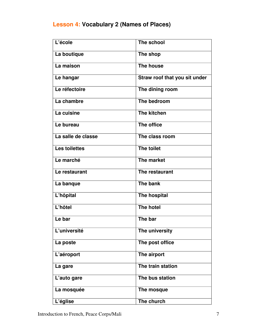### **Lesson 4: Vocabulary 2 (Names of Places)**

| L'école              | The school                    |
|----------------------|-------------------------------|
| La boutique          | The shop                      |
| La maison            | The house                     |
| Le hangar            | Straw roof that you sit under |
| Le réfectoire        | The dining room               |
| La chambre           | The bedroom                   |
| La cuisine           | <b>The kitchen</b>            |
| Le bureau            | The office                    |
| La salle de classe   | The class room                |
| <b>Les toilettes</b> | The toilet                    |
| Le marché            | The market                    |
| Le restaurant        | The restaurant                |
| La banque            | The bank                      |
| L'hôpital            | The hospital                  |
| L'hôtel              | <b>The hotel</b>              |
| Le bar               | The bar                       |
| L'université         | The university                |
| La poste             | The post office               |
| L'aéroport           | The airport                   |
| La gare              | The train station             |
| L'auto gare          | The bus station               |
| La mosquée           | The mosque                    |
| L'église             | The church                    |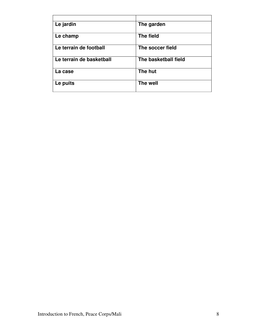| Le jardin                | The garden           |
|--------------------------|----------------------|
| Le champ                 | The field            |
| Le terrain de football   | The soccer field     |
| Le terrain de basketball | The basketball field |
| La case                  | The hut              |
| Le puits                 | The well             |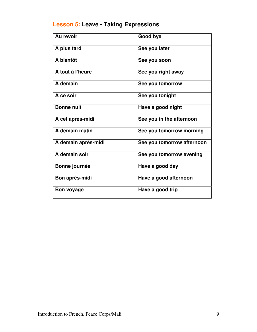## **Lesson 5: Leave - Taking Expressions**

| Au revoir           | Good bye                   |
|---------------------|----------------------------|
| A plus tard         | See you later              |
| A bientôt           | See you soon               |
| A tout à l'heure    | See you right away         |
| A demain            | See you tomorrow           |
| A ce soir           | See you tonight            |
| <b>Bonne nuit</b>   | Have a good night          |
| A cet après-midi    | See you in the afternoon   |
| A demain matin      | See you tomorrow morning   |
| A demain après-midi | See you tomorrow afternoon |
| A demain soir       | See you tomorrow evening   |
| Bonne journée       | Have a good day            |
| Bon après-midi      | Have a good afternoon      |
| <b>Bon voyage</b>   | Have a good trip           |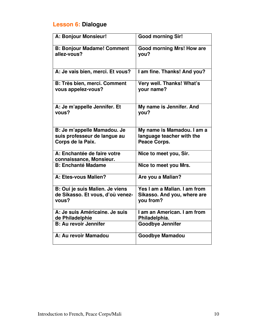## **Lesson 6: Dialogue**

| A: Bonjour Monsieur!                                                             | <b>Good morning Sir!</b>                                                 |
|----------------------------------------------------------------------------------|--------------------------------------------------------------------------|
| <b>B: Bonjour Madame! Comment</b><br>allez-vous?                                 | <b>Good morning Mrs! How are</b><br>you?                                 |
| A: Je vais bien, merci. Et vous?                                                 | I am fine. Thanks! And you?                                              |
| <b>B: Très bien, merci. Comment</b><br>vous appelez-vous?                        | Very well. Thanks! What's<br>your name?                                  |
| A: Je m'appelle Jennifer. Et<br>vous?                                            | My name is Jennifer. And<br>you?                                         |
| B: Je m'appelle Mamadou. Je<br>suis professeur de langue au<br>Corps de la Paix. | My name is Mamadou. I am a<br>language teacher with the<br>Peace Corps.  |
| A: Enchantée de faire votre<br>connaissance, Monsieur.                           | Nice to meet you, Sir.                                                   |
| <b>B: Enchanté Madame</b>                                                        | Nice to meet you Mrs.                                                    |
| A: Etes-vous Malien?                                                             | Are you a Malian?                                                        |
| B: Oui je suis Malien. Je viens<br>de Sikasso. Et vous, d'où venez-<br>vous?     | Yes I am a Malian. I am from<br>Sikasso. And you, where are<br>you from? |
| A: Je suis Américaine, Je suis<br>de Philadelphie                                | I am an American. I am from<br>Philadelphia.                             |
| <b>B: Au revoir Jennifer</b>                                                     | <b>Goodbye Jennifer</b>                                                  |
| A: Au revoir Mamadou                                                             | <b>Goodbye Mamadou</b>                                                   |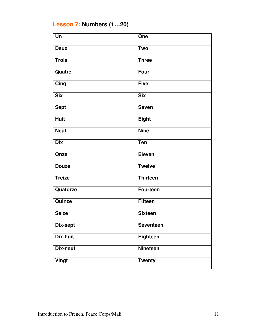## **Lesson 7: Numbers (1…20)**

| Un              | One              |
|-----------------|------------------|
| <b>Deux</b>     | <b>Two</b>       |
| <b>Trois</b>    | <b>Three</b>     |
| Quatre          | <b>Four</b>      |
| Cinq            | <b>Five</b>      |
| <b>Six</b>      | <b>Six</b>       |
| <b>Sept</b>     | <b>Seven</b>     |
| <b>Huit</b>     | <b>Eight</b>     |
| <b>Neuf</b>     | <b>Nine</b>      |
| <b>Dix</b>      | <b>Ten</b>       |
| Onze            | <b>Eleven</b>    |
| <b>Douze</b>    | <b>Twelve</b>    |
| Treize          | <b>Thirteen</b>  |
| Quatorze        | <b>Fourteen</b>  |
| Quinze          | <b>Fifteen</b>   |
| <b>Seize</b>    | <b>Sixteen</b>   |
| Dix-sept        | <b>Seventeen</b> |
| <b>Dix-huit</b> | Eighteen         |
| Dix-neuf        | <b>Nineteen</b>  |
| Vingt           | <b>Twenty</b>    |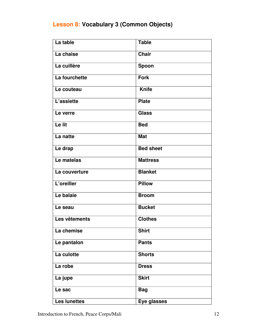### **Lesson 8: Vocabulary 3 (Common Objects)**

| La table            | <b>Table</b>     |
|---------------------|------------------|
| La chaise           | <b>Chair</b>     |
| La cuillère         | Spoon            |
| La fourchette       | <b>Fork</b>      |
| Le couteau          | <b>Knife</b>     |
| L'assiette          | <b>Plate</b>     |
| Le verre            | <b>Glass</b>     |
| Le lit              | <b>Bed</b>       |
| La natte            | <b>Mat</b>       |
| Le drap             | <b>Bed sheet</b> |
| Le matelas          | <b>Mattress</b>  |
| La couverture       | <b>Blanket</b>   |
| L'oreiller          | <b>Pillow</b>    |
| Le balaie           | <b>Broom</b>     |
| Le seau             | <b>Bucket</b>    |
| Les vêtements       | <b>Clothes</b>   |
| La chemise          | <b>Shirt</b>     |
| Le pantalon         | <b>Pants</b>     |
| La culotte          | <b>Shorts</b>    |
| La robe             | <b>Dress</b>     |
| La jupe             | <b>Skirt</b>     |
| Le sac              | <b>Bag</b>       |
| <b>Les lunettes</b> | Eye glasses      |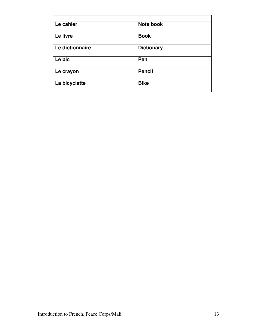| Le cahier       | <b>Note book</b>  |
|-----------------|-------------------|
| Le livre        | <b>Book</b>       |
| Le dictionnaire | <b>Dictionary</b> |
| Le bic          | Pen               |
| Le crayon       | <b>Pencil</b>     |
| La bicyclette   | <b>Bike</b>       |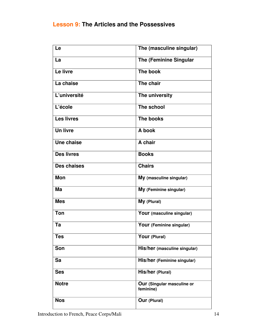#### **Lesson 9: The Articles and the Possessives**

| Le                 | The (masculine singular)                |
|--------------------|-----------------------------------------|
| La                 | <b>The (Feminine Singular</b>           |
| Le livre           | The book                                |
| La chaise          | The chair                               |
| L'université       | The university                          |
| L'école            | The school                              |
| <b>Les livres</b>  | The books                               |
| <b>Un livre</b>    | A book                                  |
| Une chaise         | A chair                                 |
| <b>Des livres</b>  | <b>Books</b>                            |
| <b>Des chaises</b> | <b>Chairs</b>                           |
| <b>Mon</b>         | My (masculine singular)                 |
| Ma                 | My (Feminine singular)                  |
| <b>Mes</b>         | My (Plural)                             |
| <b>Ton</b>         | Your (masculine singular)               |
| Ta                 | Your (Feminine singular)                |
| <b>Tes</b>         | Your (Plural)                           |
| Son                | His/her (masculine singular)            |
| Sa                 | His/her (Feminine singular)             |
| <b>Ses</b>         | His/her (Plural)                        |
| <b>Notre</b>       | Our (Singular masculine or<br>feminine) |
| <b>Nos</b>         | <b>Our (Plural)</b>                     |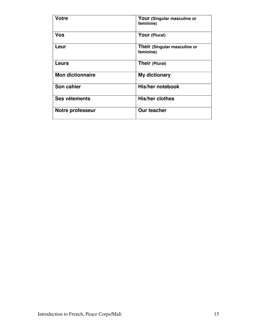| <b>Votre</b>            | Your (Singular masculine or<br>feminine)  |
|-------------------------|-------------------------------------------|
| <b>Vos</b>              | Your (Plural)                             |
| Leur                    | Their (Singular masculine or<br>feminine) |
| Leurs                   | Their (Plural)                            |
| <b>Mon dictionnaire</b> | My dictionary                             |
| Son cahier              | His/her notebook                          |
| Ses vêtements           | <b>His/her clothes</b>                    |
| <b>Notre professeur</b> | <b>Our teacher</b>                        |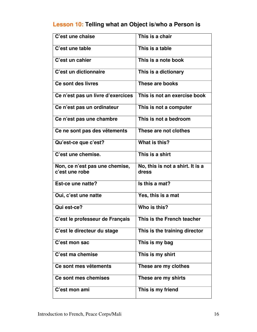### **Lesson 10: Telling what an Object is/who a Person is**

| C'est une chaise                                 | This is a chair                           |
|--------------------------------------------------|-------------------------------------------|
| C'est une table                                  | This is a table                           |
| C'est un cahier                                  | This is a note book                       |
| C'est un dictionnaire                            | This is a dictionary                      |
| Ce sont des livres                               | These are books                           |
| Ce n'est pas un livre d'exercices                | This is not an exercise book              |
| Ce n'est pas un ordinateur                       | This is not a computer                    |
| Ce n'est pas une chambre                         | This is not a bedroom                     |
| Ce ne sont pas des vêtements                     | These are not clothes                     |
| Qu'est-ce que c'est?                             | What is this?                             |
| C'est une chemise.                               | This is a shirt                           |
| Non, ce n'est pas une chemise,<br>c'est une robe | No, this is not a shirt. It is a<br>dress |
| Est-ce une natte?                                | Is this a mat?                            |
| Oui, c'est une natte                             | Yes, this is a mat                        |
| Qui est-ce?                                      | Who is this?                              |
| C'est le professeur de Français                  | This is the French teacher                |
| C'est le directeur du stage                      | This is the training director             |
| C'est mon sac                                    | This is my bag                            |
| C'est ma chemise                                 | This is my shirt                          |
| Ce sont mes vêtements                            | These are my clothes                      |
| Ce sont mes chemises                             | These are my shirts                       |
| C'est mon ami                                    | This is my friend                         |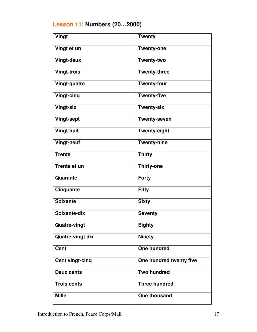## **Lesson 11: Numbers (20…2000)**

| Vingt                   | <b>Twenty</b>           |
|-------------------------|-------------------------|
| Vingt et un             | <b>Twenty-one</b>       |
| <b>Vingt-deux</b>       | <b>Twenty-two</b>       |
| <b>Vingt-trois</b>      | <b>Twenty-three</b>     |
| <b>Vingt-quatre</b>     | <b>Twenty-four</b>      |
| <b>Vingt-cinq</b>       | <b>Twenty-five</b>      |
| <b>Vingt-six</b>        | <b>Twenty-six</b>       |
| <b>Vingt-sept</b>       | <b>Twenty-seven</b>     |
| <b>Vingt-huit</b>       | <b>Twenty-eight</b>     |
| <b>Vingt-neuf</b>       | <b>Twenty-nine</b>      |
| <b>Trente</b>           | <b>Thirty</b>           |
| <b>Trente et un</b>     | <b>Thirty-one</b>       |
| Quarante                | <b>Forty</b>            |
| <b>Cinquante</b>        | <b>Fifty</b>            |
| <b>Soixante</b>         | <b>Sixty</b>            |
| Soixante-dix            | <b>Seventy</b>          |
| <b>Quatre-vingt</b>     | <b>Eighty</b>           |
| <b>Quatre-vingt dix</b> | <b>Ninety</b>           |
| <b>Cent</b>             | <b>One hundred</b>      |
| Cent vingt-cinq         | One hundred twenty five |
| <b>Deux cents</b>       | <b>Two hundred</b>      |
| <b>Trois cents</b>      | Three hundred           |
| <b>Mille</b>            | One thousand            |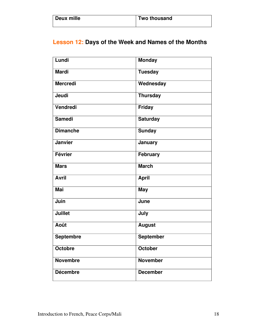| Deux mille | Two thousand |
|------------|--------------|
|            |              |

## **Lesson 12: Days of the Week and Names of the Months**

| Lundi            | <b>Monday</b>    |
|------------------|------------------|
| <b>Mardi</b>     | <b>Tuesday</b>   |
| <b>Mercredi</b>  | Wednesday        |
| <b>Jeudi</b>     | <b>Thursday</b>  |
| Vendredi         | <b>Friday</b>    |
| <b>Samedi</b>    | <b>Saturday</b>  |
| <b>Dimanche</b>  | <b>Sunday</b>    |
| Janvier          | <b>January</b>   |
| <b>Février</b>   | <b>February</b>  |
| <b>Mars</b>      | <b>March</b>     |
| <b>Avril</b>     | <b>April</b>     |
| <b>Mai</b>       | <b>May</b>       |
| Juin             | June             |
| <b>Juillet</b>   | July             |
| <b>Août</b>      | <b>August</b>    |
| <b>Septembre</b> | <b>September</b> |
| <b>Octobre</b>   | October          |
| <b>Novembre</b>  | <b>November</b>  |
| <b>Décembre</b>  | <b>December</b>  |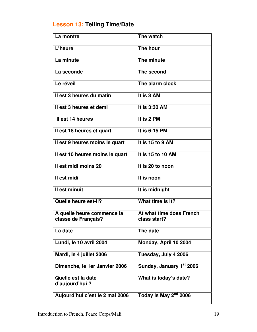## **Lesson 13: Telling Time/Date**

| La montre                                         | The watch                                |
|---------------------------------------------------|------------------------------------------|
| L'heure                                           | The hour                                 |
| La minute                                         | The minute                               |
| La seconde                                        | The second                               |
| Le réveil                                         | The alarm clock                          |
| Il est 3 heures du matin                          | It is 3 AM                               |
| Il est 3 heures et demi                           | It is 3:30 AM                            |
| Il est 14 heures                                  | It is 2 PM                               |
| Il est 18 heures et quart                         | It is 6:15 PM                            |
| Il est 9 heures moins le quart                    | It is 15 to 9 AM                         |
| Il est 10 heures moins le quart                   | It is $15$ to $10$ AM                    |
| Il est midi moins 20                              | It is 20 to noon                         |
| Il est midi                                       | It is noon                               |
| Il est minuit                                     | It is midnight                           |
| Quelle heure est-il?                              | What time is it?                         |
| A quelle heure commence la<br>classe de Français? | At what time does French<br>class start? |
| La date                                           | The date                                 |
| Lundi, le 10 avril 2004                           | Monday, April 10 2004                    |
| Mardi, le 4 juillet 2006                          | Tuesday, July 4 2006                     |
| Dimanche, le 1er Janvier 2006                     | Sunday, January 1st 2006                 |
| Quelle est la date<br>d'aujourd'hui?              | What is today's date?                    |
| Aujourd'hui c'est le 2 mai 2006                   | Today is May 2 <sup>nd</sup> 2006        |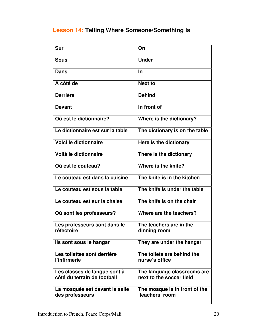## **Lesson 14: Telling Where Someone/Something Is**

| Sur                                                         | On                                                      |
|-------------------------------------------------------------|---------------------------------------------------------|
| <b>Sous</b>                                                 | <b>Under</b>                                            |
| <b>Dans</b>                                                 | <b>In</b>                                               |
| A côté de                                                   | <b>Next to</b>                                          |
| <b>Derrière</b>                                             | <b>Behind</b>                                           |
| <b>Devant</b>                                               | In front of                                             |
| Où est le dictionnaire?                                     | Where is the dictionary?                                |
| Le dictionnaire est sur la table                            | The dictionary is on the table                          |
| Voici le dictionnaire                                       | Here is the dictionary                                  |
| Voilà le dictionnaire                                       | There is the dictionary                                 |
| Où est le couteau?                                          | Where is the knife?                                     |
| Le couteau est dans la cuisine                              | The knife is in the kitchen                             |
| Le couteau est sous la table                                | The knife is under the table                            |
| Le couteau est sur la chaise                                | The knife is on the chair                               |
| Où sont les professeurs?                                    | Where are the teachers?                                 |
| Les professeurs sont dans le<br>réfectoire                  | The teachers are in the<br>dinning room                 |
| Ils sont sous le hangar                                     | They are under the hangar                               |
| Les toilettes sont derrière<br>l'infirmerie                 | The toilets are behind the<br>nurse's office            |
| Les classes de langue sont à<br>côté du terrain de football | The language classrooms are<br>next to the soccer field |
| La mosquée est devant la salle<br>des professeurs           | The mosque is in front of the<br>teachers' room         |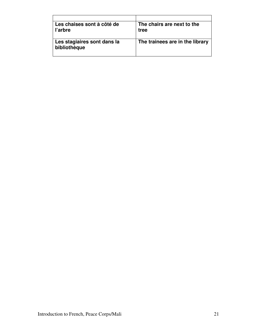| Les chaises sont à côté de<br>l'arbre       | The chairs are next to the<br>tree |
|---------------------------------------------|------------------------------------|
| Les stagiaires sont dans la<br>bibliothèque | The trainees are in the library    |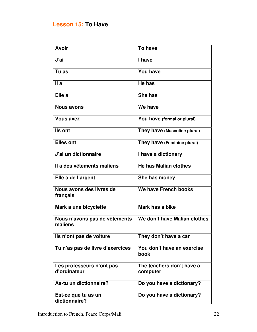#### **Lesson 15: To Have**

| <b>Avoir</b>                              | <b>To have</b>                        |
|-------------------------------------------|---------------------------------------|
| J'ai                                      | I have                                |
| Tu as                                     | <b>You have</b>                       |
| IIa                                       | He has                                |
| Elle a                                    | She has                               |
| <b>Nous avons</b>                         | We have                               |
| <b>Vous avez</b>                          | You have (formal or plural)           |
| Ils ont                                   | They have (Masculine plural)          |
| <b>Elles ont</b>                          | They have (Feminine plural)           |
| J'ai un dictionnaire                      | I have a dictionary                   |
| Il a des vêtements maliens                | <b>He has Malian clothes</b>          |
| Elle a de l'argent                        | She has money                         |
| Nous avons des livres de<br>français      | We have French books                  |
| Mark a une bicyclette                     | Mark has a bike                       |
| Nous n'avons pas de vêtements<br>maliens  | We don't have Malian clothes          |
| Ils n'ont pas de voiture                  | They don't have a car                 |
| Tu n'as pas de livre d'exercices          | You don't have an exercise<br>book    |
| Les professeurs n'ont pas<br>d'ordinateur | The teachers don't have a<br>computer |
| As-tu un dictionnaire?                    | Do you have a dictionary?             |
| Est-ce que tu as un<br>dictionnaire?      | Do you have a dictionary?             |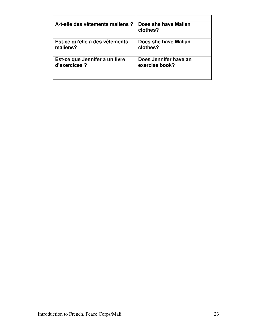| A-t-elle des vêtements maliens ? | Does she have Malian<br>clothes? |
|----------------------------------|----------------------------------|
| Est-ce qu'elle a des vêtements   | Does she have Malian             |
| maliens?                         | clothes?                         |
| Est-ce que Jennifer a un livre   | Does Jennifer have an            |
| d'exercices ?                    | exercise book?                   |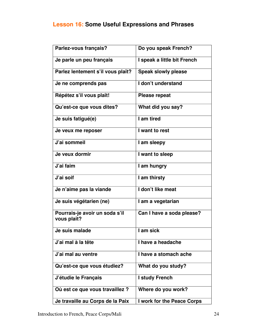### **Lesson 16: Some Useful Expressions and Phrases**

| Parlez-vous français?                         | Do you speak French?        |
|-----------------------------------------------|-----------------------------|
| Je parle un peu français                      | I speak a little bit French |
|                                               |                             |
| Parlez lentement s'il vous plaît?             | <b>Speak slowly please</b>  |
| Je ne comprends pas                           | I don't understand          |
| Répétez s'il vous plaît!                      | <b>Please repeat</b>        |
| Qu'est-ce que vous dites?                     | What did you say?           |
| Je suis fatigué(e)                            | I am tired                  |
| Je veux me reposer                            | I want to rest              |
| J'ai sommeil                                  | I am sleepy                 |
| Je veux dormir                                | I want to sleep             |
| J'ai faim                                     | I am hungry                 |
| J'ai soif                                     | I am thirsty                |
| Je n'aime pas la viande                       | I don't like meat           |
| Je suis végétarien (ne)                       | I am a vegetarian           |
| Pourrais-je avoir un soda s'il<br>vous plaît? | Can I have a soda please?   |
| Je suis malade                                | I am sick                   |
| J'ai mal à la tête                            | I have a headache           |
| J'ai mal au ventre                            | I have a stomach ache       |
| Qu'est-ce que vous étudiez?                   | What do you study?          |
| J'étudie le Français                          | I study French              |
| Où est ce que vous travaillez ?               | Where do you work?          |
| Je travaille au Corps de la Paix              | I work for the Peace Corps  |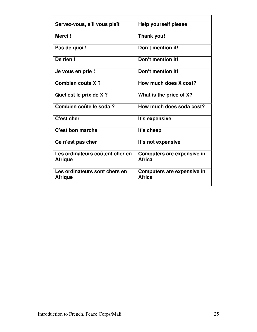| Servez-vous, s'il vous plaît                      | Help yourself please                               |
|---------------------------------------------------|----------------------------------------------------|
| Merci!                                            | Thank you!                                         |
| Pas de quoi !                                     | Don't mention it!                                  |
| De rien!                                          | Don't mention it!                                  |
| Je vous en prie !                                 | Don't mention it!                                  |
| Combien coûte X?                                  | How much does X cost?                              |
| Quel est le prix de X ?                           | What is the price of X?                            |
| Combien coûte le soda?                            | How much does soda cost?                           |
| C'est cher                                        | It's expensive                                     |
| C'est bon marché                                  | It's cheap                                         |
| Ce n'est pas cher                                 | It's not expensive                                 |
| Les ordinateurs coûtent cher en<br><b>Afrique</b> | <b>Computers are expensive in</b><br><b>Africa</b> |
| Les ordinateurs sont chers en<br><b>Afrique</b>   | Computers are expensive in<br><b>Africa</b>        |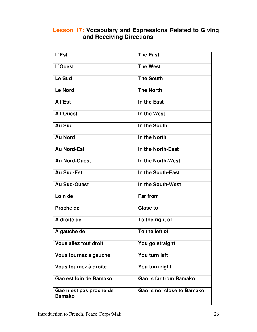#### **Lesson 17: Vocabulary and Expressions Related to Giving and Receiving Directions**

| L'Est                                    | <b>The East</b>               |
|------------------------------------------|-------------------------------|
| L'Ouest                                  | <b>The West</b>               |
| Le Sud                                   | <b>The South</b>              |
| <b>Le Nord</b>                           | <b>The North</b>              |
| A l'Est                                  | In the East                   |
| A l'Ouest                                | In the West                   |
| <b>Au Sud</b>                            | In the South                  |
| <b>Au Nord</b>                           | In the North                  |
| <b>Au Nord-Est</b>                       | In the North-East             |
| <b>Au Nord-Ouest</b>                     | In the North-West             |
| Au Sud-Est                               | In the South-East             |
| <b>Au Sud-Ouest</b>                      | In the South-West             |
| Loin de                                  | <b>Far from</b>               |
| Proche de                                | <b>Close to</b>               |
| A droite de                              | To the right of               |
| A gauche de                              | To the left of                |
| <b>Vous allez tout droit</b>             | You go straight               |
| Vous tournez à gauche                    | You turn left                 |
| Vous tournez à droite                    | You turn right                |
| Gao est loin de Bamako                   | <b>Gao is far from Bamako</b> |
| Gao n'est pas proche de<br><b>Bamako</b> | Gao is not close to Bamako    |